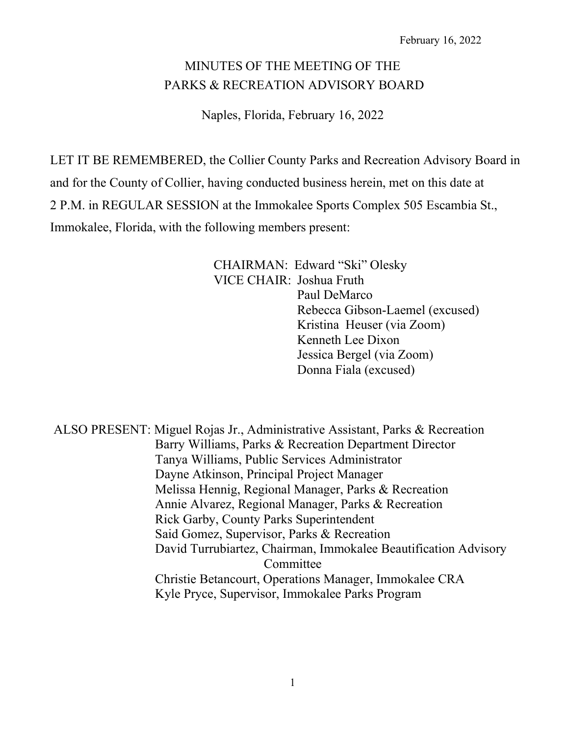# MINUTES OF THE MEETING OF THE PARKS & RECREATION ADVISORY BOARD

Naples, Florida, February 16, 2022

LET IT BE REMEMBERED, the Collier County Parks and Recreation Advisory Board in and for the County of Collier, having conducted business herein, met on this date at 2 P.M. in REGULAR SESSION at the Immokalee Sports Complex 505 Escambia St., Immokalee, Florida, with the following members present:

> CHAIRMAN: Edward "Ski" Olesky VICE CHAIR: Joshua Fruth Paul DeMarco Rebecca Gibson-Laemel (excused) Kristina Heuser (via Zoom) Kenneth Lee Dixon Jessica Bergel (via Zoom) Donna Fiala (excused)

ALSO PRESENT: Miguel Rojas Jr., Administrative Assistant, Parks & Recreation Barry Williams, Parks & Recreation Department Director Tanya Williams, Public Services Administrator Dayne Atkinson, Principal Project Manager Melissa Hennig, Regional Manager, Parks & Recreation Annie Alvarez, Regional Manager, Parks & Recreation Rick Garby, County Parks Superintendent Said Gomez, Supervisor, Parks & Recreation David Turrubiartez, Chairman, Immokalee Beautification Advisory Committee Christie Betancourt, Operations Manager, Immokalee CRA Kyle Pryce, Supervisor, Immokalee Parks Program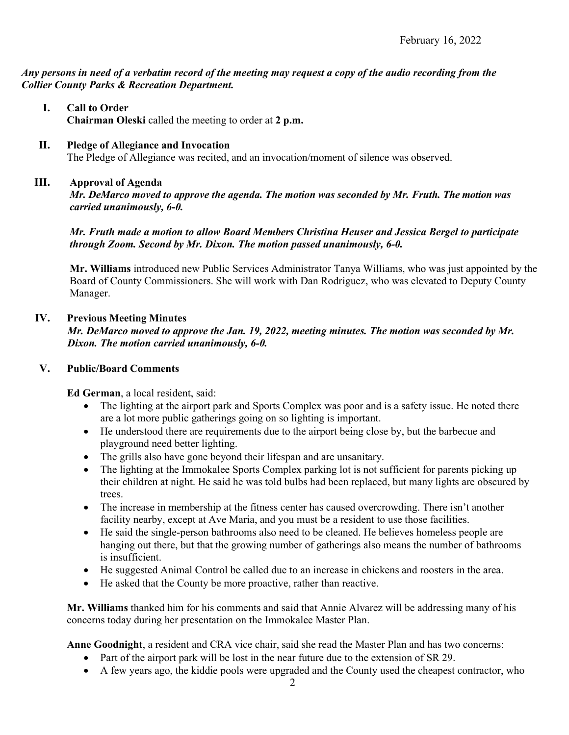*Any persons in need of a verbatim record of the meeting may request a copy of the audio recording from the Collier County Parks & Recreation Department.*

- **I. Call to Order Chairman Oleski** called the meeting to order at **2 p.m.**
- **II. Pledge of Allegiance and Invocation** The Pledge of Allegiance was recited, and an invocation/moment of silence was observed.

## **III. Approval of Agenda**

*Mr. DeMarco moved to approve the agenda. The motion was seconded by Mr. Fruth. The motion was carried unanimously, 6-0.*

*Mr. Fruth made a motion to allow Board Members Christina Heuser and Jessica Bergel to participate through Zoom. Second by Mr. Dixon. The motion passed unanimously, 6-0.*

**Mr. Williams** introduced new Public Services Administrator Tanya Williams, who was just appointed by the Board of County Commissioners. She will work with Dan Rodriguez, who was elevated to Deputy County Manager.

## **IV. Previous Meeting Minutes**

*Mr. DeMarco moved to approve the Jan. 19, 2022, meeting minutes. The motion was seconded by Mr. Dixon. The motion carried unanimously, 6-0.*

### **V. Public/Board Comments**

**Ed German**, a local resident, said:

- The lighting at the airport park and Sports Complex was poor and is a safety issue. He noted there are a lot more public gatherings going on so lighting is important.
- He understood there are requirements due to the airport being close by, but the barbecue and playground need better lighting.
- The grills also have gone beyond their lifespan and are unsanitary.
- The lighting at the Immokalee Sports Complex parking lot is not sufficient for parents picking up their children at night. He said he was told bulbs had been replaced, but many lights are obscured by trees.
- The increase in membership at the fitness center has caused overcrowding. There isn't another facility nearby, except at Ave Maria, and you must be a resident to use those facilities.
- He said the single-person bathrooms also need to be cleaned. He believes homeless people are hanging out there, but that the growing number of gatherings also means the number of bathrooms is insufficient.
- He suggested Animal Control be called due to an increase in chickens and roosters in the area.
- He asked that the County be more proactive, rather than reactive.

**Mr. Williams** thanked him for his comments and said that Annie Alvarez will be addressing many of his concerns today during her presentation on the Immokalee Master Plan.

**Anne Goodnight**, a resident and CRA vice chair, said she read the Master Plan and has two concerns:

- Part of the airport park will be lost in the near future due to the extension of SR 29.
- A few years ago, the kiddie pools were upgraded and the County used the cheapest contractor, who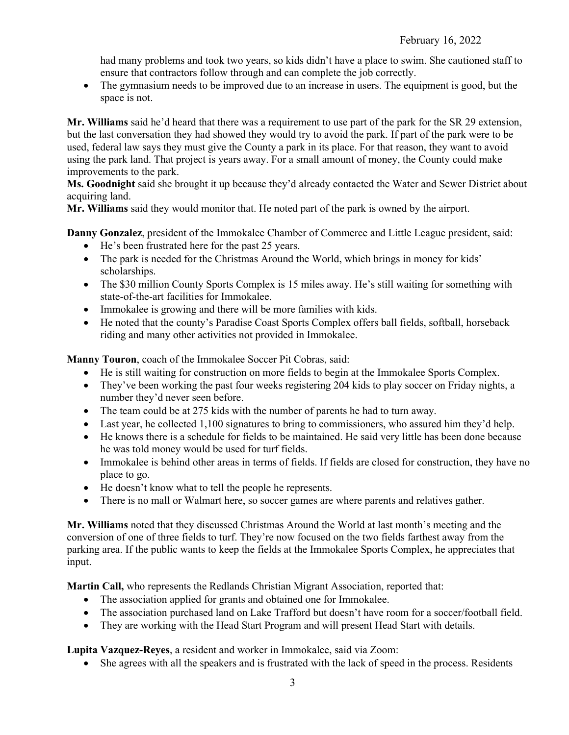had many problems and took two years, so kids didn't have a place to swim. She cautioned staff to ensure that contractors follow through and can complete the job correctly.

• The gymnasium needs to be improved due to an increase in users. The equipment is good, but the space is not.

**Mr. Williams** said he'd heard that there was a requirement to use part of the park for the SR 29 extension, but the last conversation they had showed they would try to avoid the park. If part of the park were to be used, federal law says they must give the County a park in its place. For that reason, they want to avoid using the park land. That project is years away. For a small amount of money, the County could make improvements to the park.

**Ms. Goodnight** said she brought it up because they'd already contacted the Water and Sewer District about acquiring land.

**Mr. Williams** said they would monitor that. He noted part of the park is owned by the airport.

**Danny Gonzalez**, president of the Immokalee Chamber of Commerce and Little League president, said:

- He's been frustrated here for the past 25 years.
- The park is needed for the Christmas Around the World, which brings in money for kids' scholarships.
- The \$30 million County Sports Complex is 15 miles away. He's still waiting for something with state-of-the-art facilities for Immokalee.
- Immokalee is growing and there will be more families with kids.
- He noted that the county's Paradise Coast Sports Complex offers ball fields, softball, horseback riding and many other activities not provided in Immokalee.

**Manny Touron**, coach of the Immokalee Soccer Pit Cobras, said:

- He is still waiting for construction on more fields to begin at the Immokalee Sports Complex.
- They've been working the past four weeks registering 204 kids to play soccer on Friday nights, a number they'd never seen before.
- The team could be at 275 kids with the number of parents he had to turn away.
- Last year, he collected 1,100 signatures to bring to commissioners, who assured him they'd help.
- He knows there is a schedule for fields to be maintained. He said very little has been done because he was told money would be used for turf fields.
- Immokalee is behind other areas in terms of fields. If fields are closed for construction, they have no place to go.
- He doesn't know what to tell the people he represents.
- There is no mall or Walmart here, so soccer games are where parents and relatives gather.

**Mr. Williams** noted that they discussed Christmas Around the World at last month's meeting and the conversion of one of three fields to turf. They're now focused on the two fields farthest away from the parking area. If the public wants to keep the fields at the Immokalee Sports Complex, he appreciates that input.

**Martin Call,** who represents the Redlands Christian Migrant Association, reported that:

- The association applied for grants and obtained one for Immokalee.
- The association purchased land on Lake Trafford but doesn't have room for a soccer/football field.
- They are working with the Head Start Program and will present Head Start with details.

**Lupita Vazquez-Reyes**, a resident and worker in Immokalee, said via Zoom:

• She agrees with all the speakers and is frustrated with the lack of speed in the process. Residents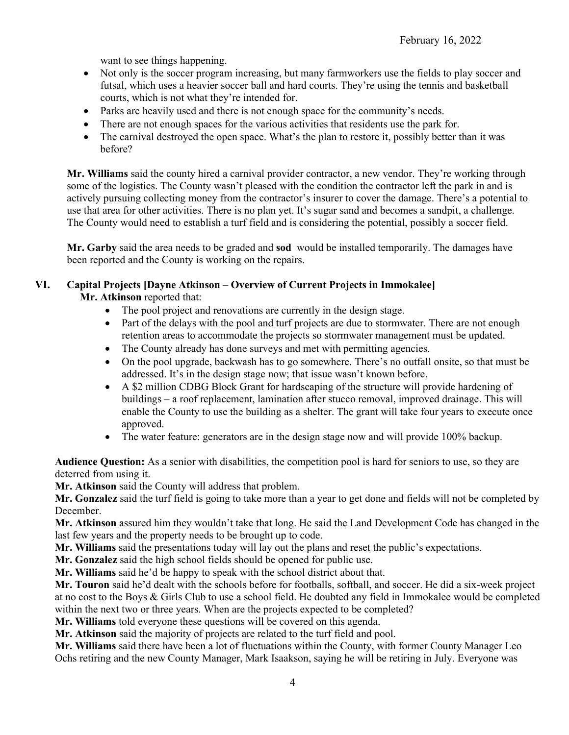want to see things happening.

- Not only is the soccer program increasing, but many farmworkers use the fields to play soccer and futsal, which uses a heavier soccer ball and hard courts. They're using the tennis and basketball courts, which is not what they're intended for.
- Parks are heavily used and there is not enough space for the community's needs.
- There are not enough spaces for the various activities that residents use the park for.
- The carnival destroyed the open space. What's the plan to restore it, possibly better than it was before?

**Mr. Williams** said the county hired a carnival provider contractor, a new vendor. They're working through some of the logistics. The County wasn't pleased with the condition the contractor left the park in and is actively pursuing collecting money from the contractor's insurer to cover the damage. There's a potential to use that area for other activities. There is no plan yet. It's sugar sand and becomes a sandpit, a challenge. The County would need to establish a turf field and is considering the potential, possibly a soccer field.

**Mr. Garby** said the area needs to be graded and **sod** would be installed temporarily. The damages have been reported and the County is working on the repairs.

## **VI. Capital Projects [Dayne Atkinson – Overview of Current Projects in Immokalee]**

**Mr. Atkinson** reported that:

- The pool project and renovations are currently in the design stage.
- Part of the delays with the pool and turf projects are due to stormwater. There are not enough retention areas to accommodate the projects so stormwater management must be updated.
- The County already has done surveys and met with permitting agencies.
- On the pool upgrade, backwash has to go somewhere. There's no outfall onsite, so that must be addressed. It's in the design stage now; that issue wasn't known before.
- A \$2 million CDBG Block Grant for hardscaping of the structure will provide hardening of buildings – a roof replacement, lamination after stucco removal, improved drainage. This will enable the County to use the building as a shelter. The grant will take four years to execute once approved.
- The water feature: generators are in the design stage now and will provide 100% backup.

**Audience Question:** As a senior with disabilities, the competition pool is hard for seniors to use, so they are deterred from using it.

**Mr. Atkinson** said the County will address that problem.

**Mr. Gonzalez** said the turf field is going to take more than a year to get done and fields will not be completed by December.

**Mr. Atkinson** assured him they wouldn't take that long. He said the Land Development Code has changed in the last few years and the property needs to be brought up to code.

**Mr. Williams** said the presentations today will lay out the plans and reset the public's expectations.

**Mr. Gonzalez** said the high school fields should be opened for public use.

**Mr. Williams** said he'd be happy to speak with the school district about that.

**Mr. Touron** said he'd dealt with the schools before for footballs, softball, and soccer. He did a six-week project at no cost to the Boys & Girls Club to use a school field. He doubted any field in Immokalee would be completed within the next two or three years. When are the projects expected to be completed?

**Mr. Williams** told everyone these questions will be covered on this agenda.

**Mr. Atkinson** said the majority of projects are related to the turf field and pool.

**Mr. Williams** said there have been a lot of fluctuations within the County, with former County Manager Leo Ochs retiring and the new County Manager, Mark Isaakson, saying he will be retiring in July. Everyone was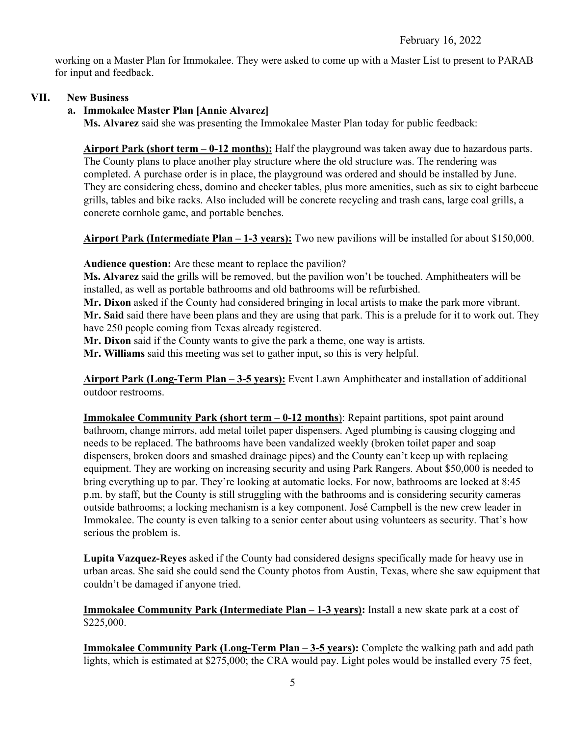working on a Master Plan for Immokalee. They were asked to come up with a Master List to present to PARAB for input and feedback.

#### **VII. New Business**

## **a. Immokalee Master Plan [Annie Alvarez]**

**Ms. Alvarez** said she was presenting the Immokalee Master Plan today for public feedback:

**Airport Park (short term – 0-12 months):** Half the playground was taken away due to hazardous parts. The County plans to place another play structure where the old structure was. The rendering was completed. A purchase order is in place, the playground was ordered and should be installed by June. They are considering chess, domino and checker tables, plus more amenities, such as six to eight barbecue grills, tables and bike racks. Also included will be concrete recycling and trash cans, large coal grills, a concrete cornhole game, and portable benches.

**Airport Park (Intermediate Plan – 1-3 years):** Two new pavilions will be installed for about \$150,000.

**Audience question:** Are these meant to replace the pavilion?

**Ms. Alvarez** said the grills will be removed, but the pavilion won't be touched. Amphitheaters will be installed, as well as portable bathrooms and old bathrooms will be refurbished.

**Mr. Dixon** asked if the County had considered bringing in local artists to make the park more vibrant. **Mr. Said** said there have been plans and they are using that park. This is a prelude for it to work out. They have 250 people coming from Texas already registered.

**Mr. Dixon** said if the County wants to give the park a theme, one way is artists.

**Mr. Williams** said this meeting was set to gather input, so this is very helpful.

**Airport Park (Long-Term Plan – 3-5 years):** Event Lawn Amphitheater and installation of additional outdoor restrooms.

**Immokalee Community Park (short term – 0-12 months**): Repaint partitions, spot paint around bathroom, change mirrors, add metal toilet paper dispensers. Aged plumbing is causing clogging and needs to be replaced. The bathrooms have been vandalized weekly (broken toilet paper and soap dispensers, broken doors and smashed drainage pipes) and the County can't keep up with replacing equipment. They are working on increasing security and using Park Rangers. About \$50,000 is needed to bring everything up to par. They're looking at automatic locks. For now, bathrooms are locked at 8:45 p.m. by staff, but the County is still struggling with the bathrooms and is considering security cameras outside bathrooms; a locking mechanism is a key component. José Campbell is the new crew leader in Immokalee. The county is even talking to a senior center about using volunteers as security. That's how serious the problem is.

**Lupita Vazquez-Reyes** asked if the County had considered designs specifically made for heavy use in urban areas. She said she could send the County photos from Austin, Texas, where she saw equipment that couldn't be damaged if anyone tried.

**Immokalee Community Park (Intermediate Plan – 1-3 years):** Install a new skate park at a cost of \$225,000.

**Immokalee Community Park (Long-Term Plan – 3-5 years):** Complete the walking path and add path lights, which is estimated at \$275,000; the CRA would pay. Light poles would be installed every 75 feet,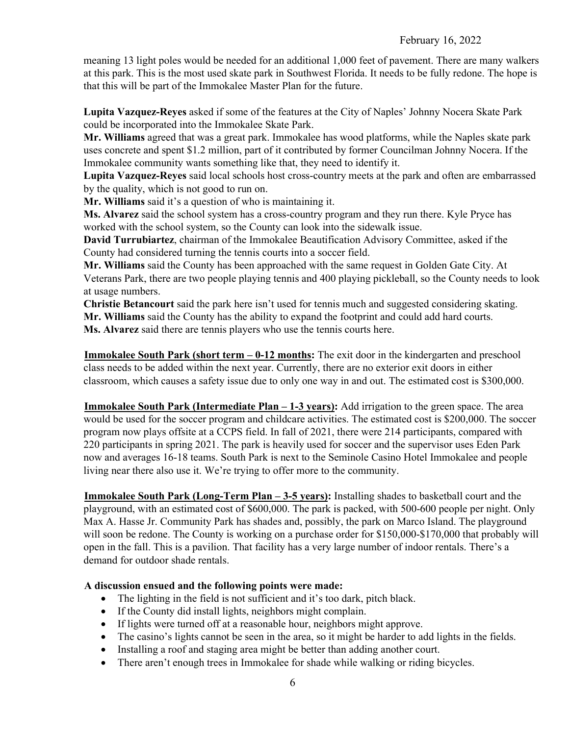meaning 13 light poles would be needed for an additional 1,000 feet of pavement. There are many walkers at this park. This is the most used skate park in Southwest Florida. It needs to be fully redone. The hope is that this will be part of the Immokalee Master Plan for the future.

**Lupita Vazquez-Reyes** asked if some of the features at the City of Naples' Johnny Nocera Skate Park could be incorporated into the Immokalee Skate Park.

**Mr. Williams** agreed that was a great park. Immokalee has wood platforms, while the Naples skate park uses concrete and spent \$1.2 million, part of it contributed by former Councilman Johnny Nocera. If the Immokalee community wants something like that, they need to identify it.

**Lupita Vazquez-Reyes** said local schools host cross-country meets at the park and often are embarrassed by the quality, which is not good to run on.

**Mr. Williams** said it's a question of who is maintaining it.

**Ms. Alvarez** said the school system has a cross-country program and they run there. Kyle Pryce has worked with the school system, so the County can look into the sidewalk issue.

**David Turrubiartez**, chairman of the Immokalee Beautification Advisory Committee, asked if the County had considered turning the tennis courts into a soccer field.

**Mr. Williams** said the County has been approached with the same request in Golden Gate City. At Veterans Park, there are two people playing tennis and 400 playing pickleball, so the County needs to look at usage numbers.

**Christie Betancourt** said the park here isn't used for tennis much and suggested considering skating. **Mr. Williams** said the County has the ability to expand the footprint and could add hard courts. **Ms. Alvarez** said there are tennis players who use the tennis courts here.

**Immokalee South Park (short term – 0-12 months:** The exit door in the kindergarten and preschool class needs to be added within the next year. Currently, there are no exterior exit doors in either classroom, which causes a safety issue due to only one way in and out. The estimated cost is \$300,000.

**Immokalee South Park (Intermediate Plan – 1-3 years):** Add irrigation to the green space. The area would be used for the soccer program and childcare activities. The estimated cost is \$200,000. The soccer program now plays offsite at a CCPS field. In fall of 2021, there were 214 participants, compared with 220 participants in spring 2021. The park is heavily used for soccer and the supervisor uses Eden Park now and averages 16-18 teams. South Park is next to the Seminole Casino Hotel Immokalee and people living near there also use it. We're trying to offer more to the community.

**Immokalee South Park (Long-Term Plan – 3-5 years):** Installing shades to basketball court and the playground, with an estimated cost of \$600,000. The park is packed, with 500-600 people per night. Only Max A. Hasse Jr. Community Park has shades and, possibly, the park on Marco Island. The playground will soon be redone. The County is working on a purchase order for \$150,000-\$170,000 that probably will open in the fall. This is a pavilion. That facility has a very large number of indoor rentals. There's a demand for outdoor shade rentals.

## **A discussion ensued and the following points were made:**

- The lighting in the field is not sufficient and it's too dark, pitch black.
- If the County did install lights, neighbors might complain.
- If lights were turned off at a reasonable hour, neighbors might approve.
- The casino's lights cannot be seen in the area, so it might be harder to add lights in the fields.
- Installing a roof and staging area might be better than adding another court.
- There aren't enough trees in Immokalee for shade while walking or riding bicycles.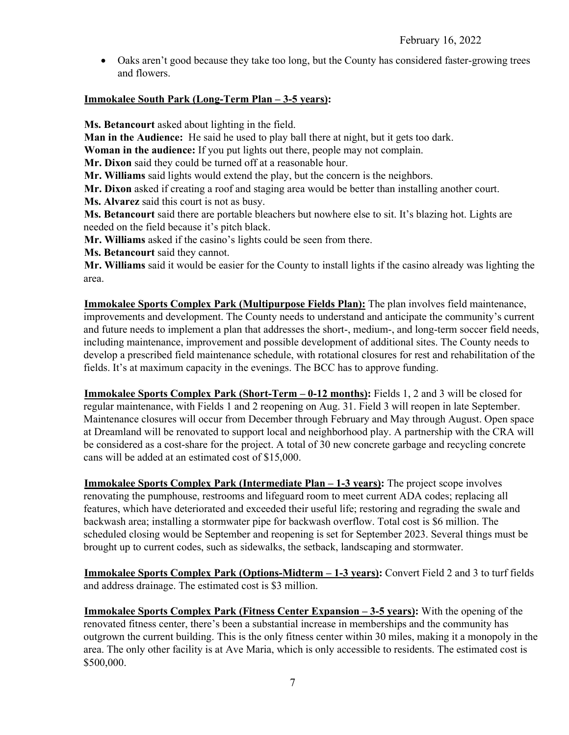• Oaks aren't good because they take too long, but the County has considered faster-growing trees and flowers.

#### **Immokalee South Park (Long-Term Plan – 3-5 years):**

**Ms. Betancourt** asked about lighting in the field.

**Man in the Audience:** He said he used to play ball there at night, but it gets too dark.

**Woman in the audience:** If you put lights out there, people may not complain.

**Mr. Dixon** said they could be turned off at a reasonable hour.

**Mr. Williams** said lights would extend the play, but the concern is the neighbors.

**Mr. Dixon** asked if creating a roof and staging area would be better than installing another court.

**Ms. Alvarez** said this court is not as busy.

**Ms. Betancourt** said there are portable bleachers but nowhere else to sit. It's blazing hot. Lights are needed on the field because it's pitch black.

**Mr. Williams** asked if the casino's lights could be seen from there.

**Ms. Betancourt** said they cannot.

**Mr. Williams** said it would be easier for the County to install lights if the casino already was lighting the area.

**Immokalee Sports Complex Park (Multipurpose Fields Plan):** The plan involves field maintenance, improvements and development. The County needs to understand and anticipate the community's current and future needs to implement a plan that addresses the short-, medium-, and long-term soccer field needs, including maintenance, improvement and possible development of additional sites. The County needs to develop a prescribed field maintenance schedule, with rotational closures for rest and rehabilitation of the fields. It's at maximum capacity in the evenings. The BCC has to approve funding.

**Immokalee Sports Complex Park (Short-Term – 0-12 months):** Fields 1, 2 and 3 will be closed for regular maintenance, with Fields 1 and 2 reopening on Aug. 31. Field 3 will reopen in late September. Maintenance closures will occur from December through February and May through August. Open space at Dreamland will be renovated to support local and neighborhood play. A partnership with the CRA will be considered as a cost-share for the project. A total of 30 new concrete garbage and recycling concrete cans will be added at an estimated cost of \$15,000.

**Immokalee Sports Complex Park (Intermediate Plan – 1-3 years):** The project scope involves renovating the pumphouse, restrooms and lifeguard room to meet current ADA codes; replacing all features, which have deteriorated and exceeded their useful life; restoring and regrading the swale and backwash area; installing a stormwater pipe for backwash overflow. Total cost is \$6 million. The scheduled closing would be September and reopening is set for September 2023. Several things must be brought up to current codes, such as sidewalks, the setback, landscaping and stormwater.

**Immokalee Sports Complex Park (Options-Midterm – 1-3 years):** Convert Field 2 and 3 to turf fields and address drainage. The estimated cost is \$3 million.

**Immokalee Sports Complex Park (Fitness Center Expansion – 3-5 years):** With the opening of the renovated fitness center, there's been a substantial increase in memberships and the community has outgrown the current building. This is the only fitness center within 30 miles, making it a monopoly in the area. The only other facility is at Ave Maria, which is only accessible to residents. The estimated cost is \$500,000.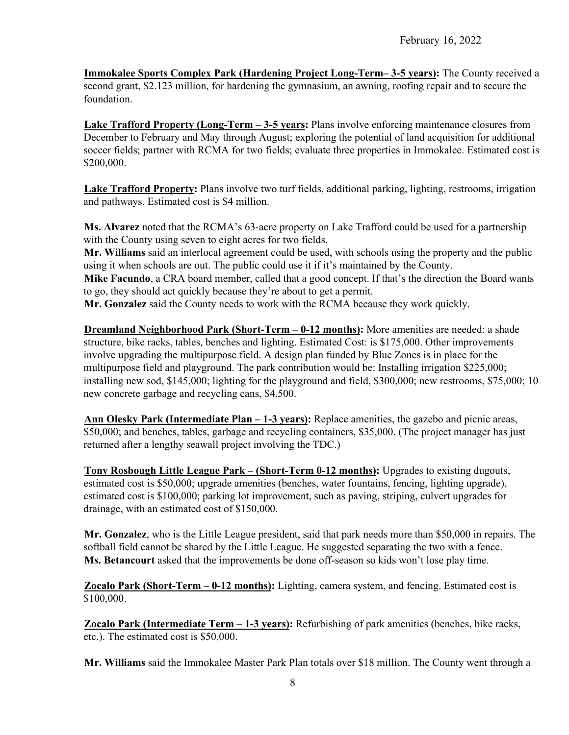**Immokalee Sports Complex Park (Hardening Project Long-Term– 3-5 years):** The County received a second grant, \$2.123 million, for hardening the gymnasium, an awning, roofing repair and to secure the foundation.

**Lake Trafford Property (Long-Term – 3-5 years:** Plans involve enforcing maintenance closures from December to February and May through August; exploring the potential of land acquisition for additional soccer fields; partner with RCMA for two fields; evaluate three properties in Immokalee. Estimated cost is \$200,000.

**Lake Trafford Property:** Plans involve two turf fields, additional parking, lighting, restrooms, irrigation and pathways. Estimated cost is \$4 million.

**Ms. Alvarez** noted that the RCMA's 63-acre property on Lake Trafford could be used for a partnership with the County using seven to eight acres for two fields.

**Mr. Williams** said an interlocal agreement could be used, with schools using the property and the public using it when schools are out. The public could use it if it's maintained by the County.

**Mike Facundo**, a CRA board member, called that a good concept. If that's the direction the Board wants to go, they should act quickly because they're about to get a permit.

**Mr. Gonzalez** said the County needs to work with the RCMA because they work quickly.

**Dreamland Neighborhood Park (Short-Term – 0-12 months):** More amenities are needed: a shade structure, bike racks, tables, benches and lighting. Estimated Cost: is \$175,000. Other improvements involve upgrading the multipurpose field. A design plan funded by Blue Zones is in place for the multipurpose field and playground. The park contribution would be: Installing irrigation \$225,000; installing new sod, \$145,000; lighting for the playground and field, \$300,000; new restrooms, \$75,000; 10 new concrete garbage and recycling cans, \$4,500.

**Ann Olesky Park (Intermediate Plan – 1-3 years):** Replace amenities, the gazebo and picnic areas, \$50,000; and benches, tables, garbage and recycling containers, \$35,000. (The project manager has just returned after a lengthy seawall project involving the TDC.)

**Tony Rosbough Little League Park – (Short-Term 0-12 months):** Upgrades to existing dugouts, estimated cost is \$50,000; upgrade amenities (benches, water fountains, fencing, lighting upgrade), estimated cost is \$100,000; parking lot improvement, such as paving, striping, culvert upgrades for drainage, with an estimated cost of \$150,000.

**Mr. Gonzalez**, who is the Little League president, said that park needs more than \$50,000 in repairs. The softball field cannot be shared by the Little League. He suggested separating the two with a fence. **Ms. Betancourt** asked that the improvements be done off-season so kids won't lose play time.

**Zocalo Park (Short-Term – 0-12 months):** Lighting, camera system, and fencing. Estimated cost is \$100,000.

**Zocalo Park (Intermediate Term – 1-3 years):** Refurbishing of park amenities (benches, bike racks, etc.). The estimated cost is \$50,000.

**Mr. Williams** said the Immokalee Master Park Plan totals over \$18 million. The County went through a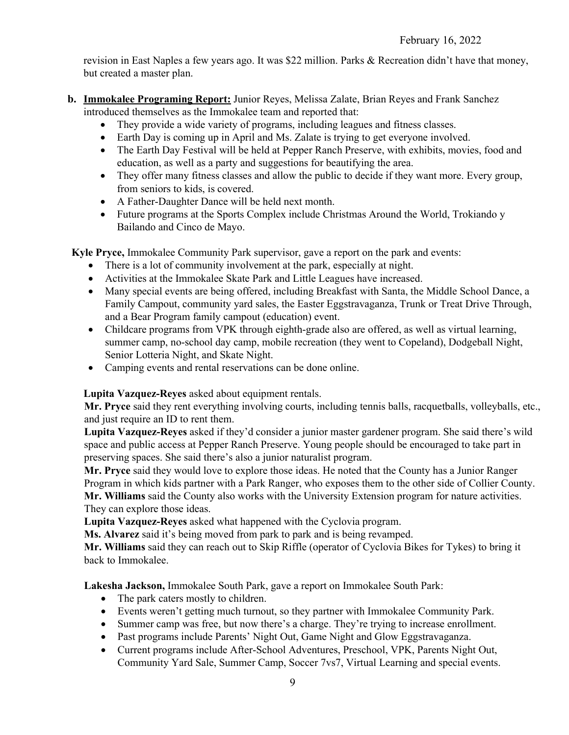revision in East Naples a few years ago. It was \$22 million. Parks & Recreation didn't have that money, but created a master plan.

- **b. Immokalee Programing Report:** Junior Reyes, Melissa Zalate, Brian Reyes and Frank Sanchez introduced themselves as the Immokalee team and reported that:
	- They provide a wide variety of programs, including leagues and fitness classes.
	- Earth Day is coming up in April and Ms. Zalate is trying to get everyone involved.
	- The Earth Day Festival will be held at Pepper Ranch Preserve, with exhibits, movies, food and education, as well as a party and suggestions for beautifying the area.
	- They offer many fitness classes and allow the public to decide if they want more. Every group, from seniors to kids, is covered.
	- A Father-Daughter Dance will be held next month.
	- Future programs at the Sports Complex include Christmas Around the World, Trokiando y Bailando and Cinco de Mayo.

**Kyle Pryce,** Immokalee Community Park supervisor, gave a report on the park and events:

- There is a lot of community involvement at the park, especially at night.
- Activities at the Immokalee Skate Park and Little Leagues have increased.
- Many special events are being offered, including Breakfast with Santa, the Middle School Dance, a Family Campout, community yard sales, the Easter Eggstravaganza, Trunk or Treat Drive Through, and a Bear Program family campout (education) event.
- Childcare programs from VPK through eighth-grade also are offered, as well as virtual learning, summer camp, no-school day camp, mobile recreation (they went to Copeland), Dodgeball Night, Senior Lotteria Night, and Skate Night.
- Camping events and rental reservations can be done online.

**Lupita Vazquez-Reyes** asked about equipment rentals.

**Mr. Pryce** said they rent everything involving courts, including tennis balls, racquetballs, volleyballs, etc., and just require an ID to rent them.

**Lupita Vazquez-Reyes** asked if they'd consider a junior master gardener program. She said there's wild space and public access at Pepper Ranch Preserve. Young people should be encouraged to take part in preserving spaces. She said there's also a junior naturalist program.

**Mr. Pryce** said they would love to explore those ideas. He noted that the County has a Junior Ranger Program in which kids partner with a Park Ranger, who exposes them to the other side of Collier County. **Mr. Williams** said the County also works with the University Extension program for nature activities. They can explore those ideas.

**Lupita Vazquez-Reyes** asked what happened with the Cyclovia program.

**Ms. Alvarez** said it's being moved from park to park and is being revamped.

**Mr. Williams** said they can reach out to Skip Riffle (operator of Cyclovia Bikes for Tykes) to bring it back to Immokalee.

**Lakesha Jackson,** Immokalee South Park, gave a report on Immokalee South Park:

- The park caters mostly to children.
- Events weren't getting much turnout, so they partner with Immokalee Community Park.
- Summer camp was free, but now there's a charge. They're trying to increase enrollment.
- Past programs include Parents' Night Out, Game Night and Glow Eggstravaganza.
- Current programs include After-School Adventures, Preschool, VPK, Parents Night Out, Community Yard Sale, Summer Camp, Soccer 7vs7, Virtual Learning and special events.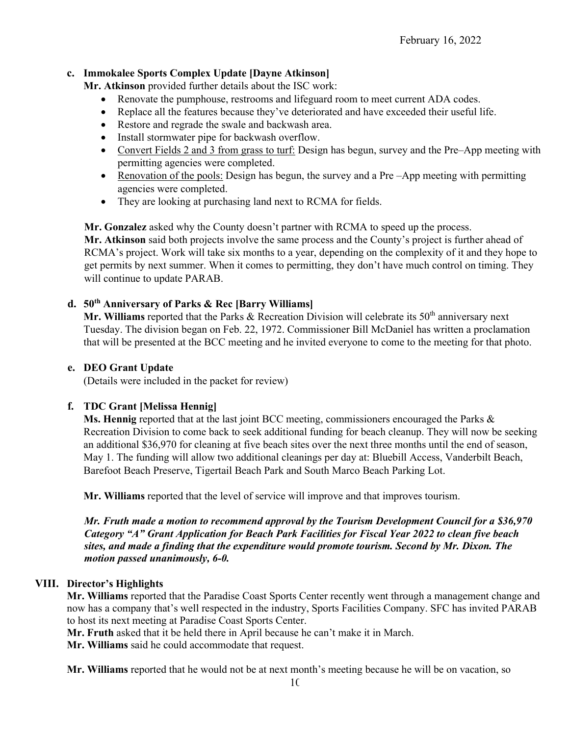#### **c. Immokalee Sports Complex Update [Dayne Atkinson]**

**Mr. Atkinson** provided further details about the ISC work:

- Renovate the pumphouse, restrooms and lifeguard room to meet current ADA codes.
- Replace all the features because they've deteriorated and have exceeded their useful life.
- Restore and regrade the swale and backwash area.
- Install stormwater pipe for backwash overflow.
- Convert Fields 2 and 3 from grass to turf: Design has begun, survey and the Pre–App meeting with permitting agencies were completed.
- Renovation of the pools: Design has begun, the survey and a Pre-App meeting with permitting agencies were completed.
- They are looking at purchasing land next to RCMA for fields.

**Mr. Gonzalez** asked why the County doesn't partner with RCMA to speed up the process.

**Mr. Atkinson** said both projects involve the same process and the County's project is further ahead of RCMA's project. Work will take six months to a year, depending on the complexity of it and they hope to get permits by next summer. When it comes to permitting, they don't have much control on timing. They will continue to update PARAB.

## **d. 50th Anniversary of Parks & Rec [Barry Williams]**

Mr. Williams reported that the Parks & Recreation Division will celebrate its 50<sup>th</sup> anniversary next Tuesday. The division began on Feb. 22, 1972. Commissioner Bill McDaniel has written a proclamation that will be presented at the BCC meeting and he invited everyone to come to the meeting for that photo.

#### **e. DEO Grant Update**

(Details were included in the packet for review)

#### **f. TDC Grant [Melissa Hennig]**

**Ms. Hennig** reported that at the last joint BCC meeting, commissioners encouraged the Parks & Recreation Division to come back to seek additional funding for beach cleanup. They will now be seeking an additional \$36,970 for cleaning at five beach sites over the next three months until the end of season, May 1. The funding will allow two additional cleanings per day at: Bluebill Access, Vanderbilt Beach, Barefoot Beach Preserve, Tigertail Beach Park and South Marco Beach Parking Lot.

**Mr. Williams** reported that the level of service will improve and that improves tourism.

*Mr. Fruth made a motion to recommend approval by the Tourism Development Council for a \$36,970 Category "A" Grant Application for Beach Park Facilities for Fiscal Year 2022 to clean five beach sites, and made a finding that the expenditure would promote tourism. Second by Mr. Dixon. The motion passed unanimously, 6-0.*

#### **VIII. Director's Highlights**

**Mr. Williams** reported that the Paradise Coast Sports Center recently went through a management change and now has a company that's well respected in the industry, Sports Facilities Company. SFC has invited PARAB to host its next meeting at Paradise Coast Sports Center.

**Mr. Fruth** asked that it be held there in April because he can't make it in March.

**Mr. Williams** said he could accommodate that request.

**Mr. Williams** reported that he would not be at next month's meeting because he will be on vacation, so